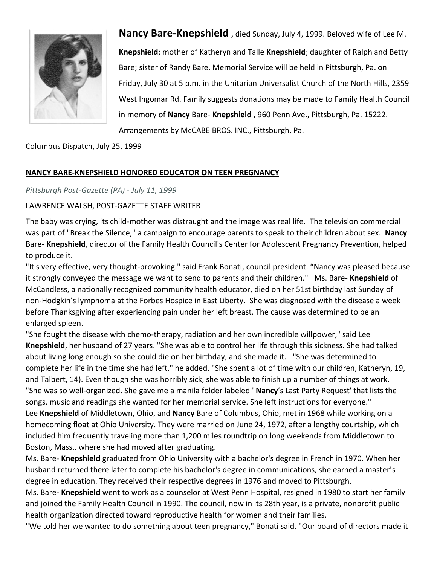

**Nancy Bare-Knepshield** , died Sunday, July 4, 1999. Beloved wife of Lee M. **Knepshield**; mother of Katheryn and Talle **Knepshield**; daughter of Ralph and Betty Bare; sister of Randy Bare. Memorial Service will be held in Pittsburgh, Pa. on Friday, July 30 at 5 p.m. in the Unitarian Universalist Church of the North Hills, 2359 West Ingomar Rd. Family suggests donations may be made to Family Health Council in memory of **Nancy** Bare- **Knepshield** , 960 Penn Ave., Pittsburgh, Pa. 15222. Arrangements by McCABE BROS. INC., Pittsburgh, Pa.

## Columbus Dispatch, July 25, 1999

## **NANCY BARE-KNEPSHIELD HONORED EDUCATOR ON TEEN PREGNANCY**

## *Pittsburgh Post-Gazette (PA) - July 11, 1999*

## LAWRENCE WALSH, POST-GAZETTE STAFF WRITER

The baby was crying, its child-mother was distraught and the image was real life. The television commercial was part of "Break the Silence," a campaign to encourage parents to speak to their children about sex. **Nancy** Bare- **Knepshield**, director of the Family Health Council's Center for Adolescent Pregnancy Prevention, helped to produce it.

"It's very effective, very thought-provoking." said Frank Bonati, council president. "Nancy was pleased because it strongly conveyed the message we want to send to parents and their children." Ms. Bare- **Knepshield** of McCandless, a nationally recognized community health educator, died on her 51st birthday last Sunday of non-Hodgkin's lymphoma at the Forbes Hospice in East Liberty. She was diagnosed with the disease a week before Thanksgiving after experiencing pain under her left breast. The cause was determined to be an enlarged spleen.

"She fought the disease with chemo-therapy, radiation and her own incredible willpower," said Lee **Knepshield**, her husband of 27 years. "She was able to control her life through this sickness. She had talked about living long enough so she could die on her birthday, and she made it. "She was determined to complete her life in the time she had left," he added. "She spent a lot of time with our children, Katheryn, 19, and Talbert, 14). Even though she was horribly sick, she was able to finish up a number of things at work. "She was so well-organized. She gave me a manila folder labeled ' **Nancy**'s Last Party Request' that lists the songs, music and readings she wanted for her memorial service. She left instructions for everyone." Lee **Knepshield** of Middletown, Ohio, and **Nancy** Bare of Columbus, Ohio, met in 1968 while working on a homecoming float at Ohio University. They were married on June 24, 1972, after a lengthy courtship, which included him frequently traveling more than 1,200 miles roundtrip on long weekends from Middletown to Boston, Mass., where she had moved after graduating.

Ms. Bare- **Knepshield** graduated from Ohio University with a bachelor's degree in French in 1970. When her husband returned there later to complete his bachelor's degree in communications, she earned a master's degree in education. They received their respective degrees in 1976 and moved to Pittsburgh.

Ms. Bare- **Knepshield** went to work as a counselor at West Penn Hospital, resigned in 1980 to start her family and joined the Family Health Council in 1990. The council, now in its 28th year, is a private, nonprofit public health organization directed toward reproductive health for women and their families.

"We told her we wanted to do something about teen pregnancy," Bonati said. "Our board of directors made it